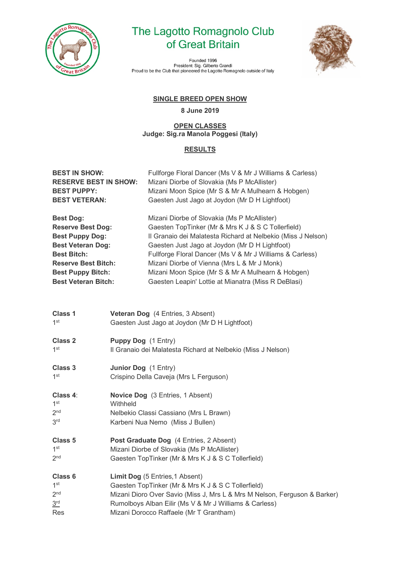

# The Lagotto Romagnolo Club of Great Britain

Founded 1996 rounted resident: Sig. Gilberto Grandi<br>Proud to be the Club that pioneered the Lagotto Romagnolo outside of Italy



# **SINGLE BREED OPEN SHOW**

#### **8 June 2019**

#### **OPEN CLASSES Judge: Sig.ra Manola Poggesi (Italy)**

## **RESULTS**

| <b>BEST IN SHOW:</b><br><b>RESERVE BEST IN SHOW:</b><br><b>BEST PUPPY:</b><br><b>BEST VETERAN:</b>                                                                                                               |                      | Fullforge Floral Dancer (Ms V & Mr J Williams & Carless)<br>Mizani Diorbe of Slovakia (Ms P McAllister)<br>Mizani Moon Spice (Mr S & Mr A Mulhearn & Hobgen)<br>Gaesten Just Jago at Joydon (Mr D H Lightfoot)                                                                                                                                                                                                                             |
|------------------------------------------------------------------------------------------------------------------------------------------------------------------------------------------------------------------|----------------------|--------------------------------------------------------------------------------------------------------------------------------------------------------------------------------------------------------------------------------------------------------------------------------------------------------------------------------------------------------------------------------------------------------------------------------------------|
| <b>Best Dog:</b><br><b>Reserve Best Dog:</b><br><b>Best Puppy Dog:</b><br><b>Best Veteran Dog:</b><br><b>Best Bitch:</b><br><b>Reserve Best Bitch:</b><br><b>Best Puppy Bitch:</b><br><b>Best Veteran Bitch:</b> |                      | Mizani Diorbe of Slovakia (Ms P McAllister)<br>Gaesten TopTinker (Mr & Mrs K J & S C Tollerfield)<br>Il Granaio dei Malatesta Richard at Nelbekio (Miss J Nelson)<br>Gaesten Just Jago at Joydon (Mr D H Lightfoot)<br>Fullforge Floral Dancer (Ms V & Mr J Williams & Carless)<br>Mizani Diorbe of Vienna (Mrs L & Mr J Monk)<br>Mizani Moon Spice (Mr S & Mr A Mulhearn & Hobgen)<br>Gaesten Leapin' Lottie at Mianatra (Miss R DeBlasi) |
| <b>Class 1</b><br>1 <sup>st</sup>                                                                                                                                                                                |                      | Veteran Dog (4 Entries, 3 Absent)<br>Gaesten Just Jago at Joydon (Mr D H Lightfoot)                                                                                                                                                                                                                                                                                                                                                        |
| <b>Class 2</b><br>1 <sup>st</sup>                                                                                                                                                                                | Puppy Dog (1 Entry)  | Il Granaio dei Malatesta Richard at Nelbekio (Miss J Nelson)                                                                                                                                                                                                                                                                                                                                                                               |
| Class 3<br>1 <sup>st</sup>                                                                                                                                                                                       | Junior Dog (1 Entry) | Crispino Della Caveja (Mrs L Ferguson)                                                                                                                                                                                                                                                                                                                                                                                                     |
| Class 4:<br>1 <sup>st</sup><br>2 <sub>nd</sub><br>3 <sup>rd</sup>                                                                                                                                                | Withheld             | <b>Novice Dog</b> (3 Entries, 1 Absent)<br>Nelbekio Classi Cassiano (Mrs L Brawn)<br>Karbeni Nua Nemo (Miss J Bullen)                                                                                                                                                                                                                                                                                                                      |
| Class 5<br>1 <sup>st</sup><br>2 <sub>nd</sub>                                                                                                                                                                    |                      | Post Graduate Dog (4 Entries, 2 Absent)<br>Mizani Diorbe of Slovakia (Ms P McAllister)<br>Gaesten TopTinker (Mr & Mrs K J & S C Tollerfield)                                                                                                                                                                                                                                                                                               |
| Class 6<br>1 <sup>st</sup><br>2 <sub>nd</sub><br>3 <sup>rd</sup><br>Res                                                                                                                                          |                      | Limit Dog (5 Entries, 1 Absent)<br>Gaesten TopTinker (Mr & Mrs K J & S C Tollerfield)<br>Mizani Dioro Over Savio (Miss J, Mrs L & Mrs M Nelson, Ferguson & Barker)<br>Rumolboys Alban Eilir (Ms V & Mr J Williams & Carless)<br>Mizani Dorocco Raffaele (Mr T Grantham)                                                                                                                                                                    |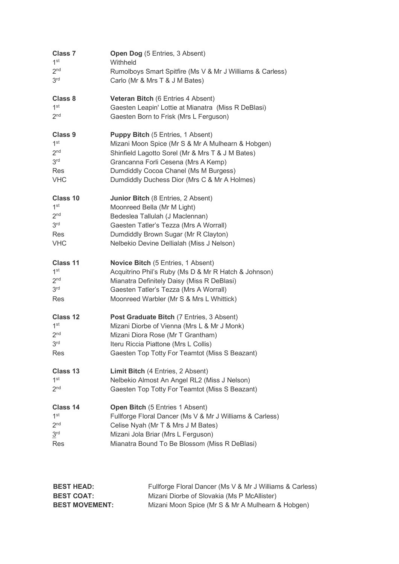| <b>Class 7</b>  | <b>Open Dog</b> (5 Entries, 3 Absent)                     |
|-----------------|-----------------------------------------------------------|
| 1 <sup>st</sup> | Withheld                                                  |
| 2 <sub>nd</sub> | Rumolboys Smart Spitfire (Ms V & Mr J Williams & Carless) |
| 3 <sup>rd</sup> | Carlo (Mr & Mrs T & J M Bates)                            |
| Class 8         | <b>Veteran Bitch (6 Entries 4 Absent)</b>                 |
| 1 <sup>st</sup> | Gaesten Leapin' Lottie at Mianatra (Miss R DeBlasi)       |
| 2 <sup>nd</sup> | Gaesten Born to Frisk (Mrs L Ferguson)                    |
| Class 9         | <b>Puppy Bitch</b> (5 Entries, 1 Absent)                  |
| 1 <sup>st</sup> | Mizani Moon Spice (Mr S & Mr A Mulhearn & Hobgen)         |
| 2 <sub>nd</sub> | Shinfield Lagotto Sorel (Mr & Mrs T & J M Bates)          |
| 3 <sup>rd</sup> | Grancanna Forli Cesena (Mrs A Kemp)                       |
| Res             | Dumdiddly Cocoa Chanel (Ms M Burgess)                     |
| <b>VHC</b>      | Dumdiddly Duchess Dior (Mrs C & Mr A Holmes)              |
| Class 10        | <b>Junior Bitch (8 Entries, 2 Absent)</b>                 |
| 1 <sup>st</sup> | Moonreed Bella (Mr M Light)                               |
| 2 <sub>nd</sub> | Bedeslea Tallulah (J Maclennan)                           |
| 3 <sup>rd</sup> | Gaesten Tatler's Tezza (Mrs A Worrall)                    |
| <b>Res</b>      | Dumdiddly Brown Sugar (Mr R Clayton)                      |
| <b>VHC</b>      | Nelbekio Devine Dellialah (Miss J Nelson)                 |
| Class 11        | Novice Bitch (5 Entries, 1 Absent)                        |
| 1 <sup>st</sup> | Acquitrino Phil's Ruby (Ms D & Mr R Hatch & Johnson)      |
| 2 <sub>nd</sub> | Mianatra Definitely Daisy (Miss R DeBlasi)                |
| 3 <sup>rd</sup> | Gaesten Tatler's Tezza (Mrs A Worrall)                    |
| Res             | Moonreed Warbler (Mr S & Mrs L Whittick)                  |
| Class 12        | Post Graduate Bitch (7 Entries, 3 Absent)                 |
| 1 <sup>st</sup> | Mizani Diorbe of Vienna (Mrs L & Mr J Monk)               |
| 2 <sub>nd</sub> | Mizani Diora Rose (Mr T Grantham)                         |
| 3 <sup>rd</sup> | Iteru Riccia Piattone (Mrs L Collis)                      |
| Res             | Gaesten Top Totty For Teamtot (Miss S Beazant)            |
| Class 13        | Limit Bitch (4 Entries, 2 Absent)                         |
| 1 <sup>st</sup> | Nelbekio Almost An Angel RL2 (Miss J Nelson)              |
| 2 <sub>nd</sub> | Gaesten Top Totty For Teamtot (Miss S Beazant)            |
| Class 14        | Open Bitch (5 Entries 1 Absent)                           |
| 1 <sup>st</sup> | Fullforge Floral Dancer (Ms V & Mr J Williams & Carless)  |
| 2 <sub>nd</sub> | Celise Nyah (Mr T & Mrs J M Bates)                        |
| 3 <sup>rd</sup> | Mizani Jola Briar (Mrs L Ferguson)                        |
| Res             | Mianatra Bound To Be Blossom (Miss R DeBlasi)             |

| <b>BEST HEAD:</b>     | Fullforge Floral Dancer (Ms V & Mr J Williams & Carless) |
|-----------------------|----------------------------------------------------------|
| <b>BEST COAT:</b>     | Mizani Diorbe of Slovakia (Ms P McAllister)              |
| <b>BEST MOVEMENT:</b> | Mizani Moon Spice (Mr S & Mr A Mulhearn & Hobgen)        |